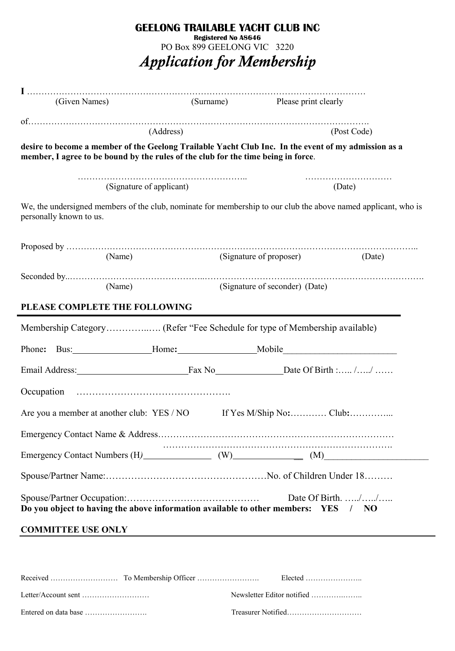| <b>GEELONG TRAILABLE YACHT CLUB INC</b><br><b>Registered No A8646</b><br>PO Box 899 GEELONG VIC 3220<br><b>Application for Membership</b>                                                 |           |                         |                                |        |  |
|-------------------------------------------------------------------------------------------------------------------------------------------------------------------------------------------|-----------|-------------------------|--------------------------------|--------|--|
| (Given Names)                                                                                                                                                                             |           |                         | (Surname) Please print clearly |        |  |
|                                                                                                                                                                                           | (Address) | (Post Code)             |                                |        |  |
| desire to become a member of the Geelong Trailable Yacht Club Inc. In the event of my admission as a<br>member, I agree to be bound by the rules of the club for the time being in force. |           |                         |                                |        |  |
| (Signature of applicant)                                                                                                                                                                  |           |                         |                                | (Date) |  |
| We, the undersigned members of the club, nominate for membership to our club the above named applicant, who is<br>personally known to us.                                                 |           |                         |                                |        |  |
| (Name)                                                                                                                                                                                    |           | (Signature of proposer) |                                | (Date) |  |
| (Name)                                                                                                                                                                                    |           |                         | (Signature of seconder) (Date) |        |  |
| PLEASE COMPLETE THE FOLLOWING                                                                                                                                                             |           |                         |                                |        |  |
| Phone: Bus: Home: Home: Mobile                                                                                                                                                            |           |                         |                                |        |  |
| Email Address:                                                                                                                                                                            |           |                         | Fax No Date Of Birth : //      |        |  |
|                                                                                                                                                                                           |           |                         |                                |        |  |
| Are you a member at another club: YES / NO If Yes M/Ship No:  Club:                                                                                                                       |           |                         |                                |        |  |
|                                                                                                                                                                                           |           |                         |                                |        |  |
|                                                                                                                                                                                           |           |                         |                                |        |  |
|                                                                                                                                                                                           |           |                         |                                |        |  |
| Do you object to having the above information available to other members: YES / NO                                                                                                        |           |                         |                                |        |  |
| <b>COMMITTEE USE ONLY</b>                                                                                                                                                                 |           |                         |                                |        |  |

|  | Newsletter Editor notified |
|--|----------------------------|
|  |                            |